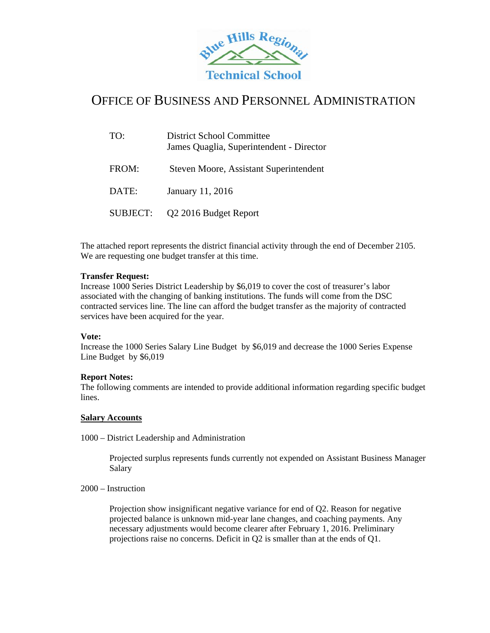

## OFFICE OF BUSINESS AND PERSONNEL ADMINISTRATION

| TO:      | <b>District School Committee</b><br>James Quaglia, Superintendent - Director |
|----------|------------------------------------------------------------------------------|
| FROM:    | Steven Moore, Assistant Superintendent                                       |
| DATE:    | January 11, 2016                                                             |
| SUBJECT: | Q2 2016 Budget Report                                                        |

The attached report represents the district financial activity through the end of December 2105. We are requesting one budget transfer at this time.

## **Transfer Request:**

Increase 1000 Series District Leadership by \$6,019 to cover the cost of treasurer's labor associated with the changing of banking institutions. The funds will come from the DSC contracted services line. The line can afford the budget transfer as the majority of contracted services have been acquired for the year.

#### **Vote:**

Increase the 1000 Series Salary Line Budget by \$6,019 and decrease the 1000 Series Expense Line Budget by \$6,019

#### **Report Notes:**

The following comments are intended to provide additional information regarding specific budget lines.

#### **Salary Accounts**

1000 – District Leadership and Administration

Projected surplus represents funds currently not expended on Assistant Business Manager Salary

2000 – Instruction

Projection show insignificant negative variance for end of Q2. Reason for negative projected balance is unknown mid-year lane changes, and coaching payments. Any necessary adjustments would become clearer after February 1, 2016. Preliminary projections raise no concerns. Deficit in Q2 is smaller than at the ends of Q1.